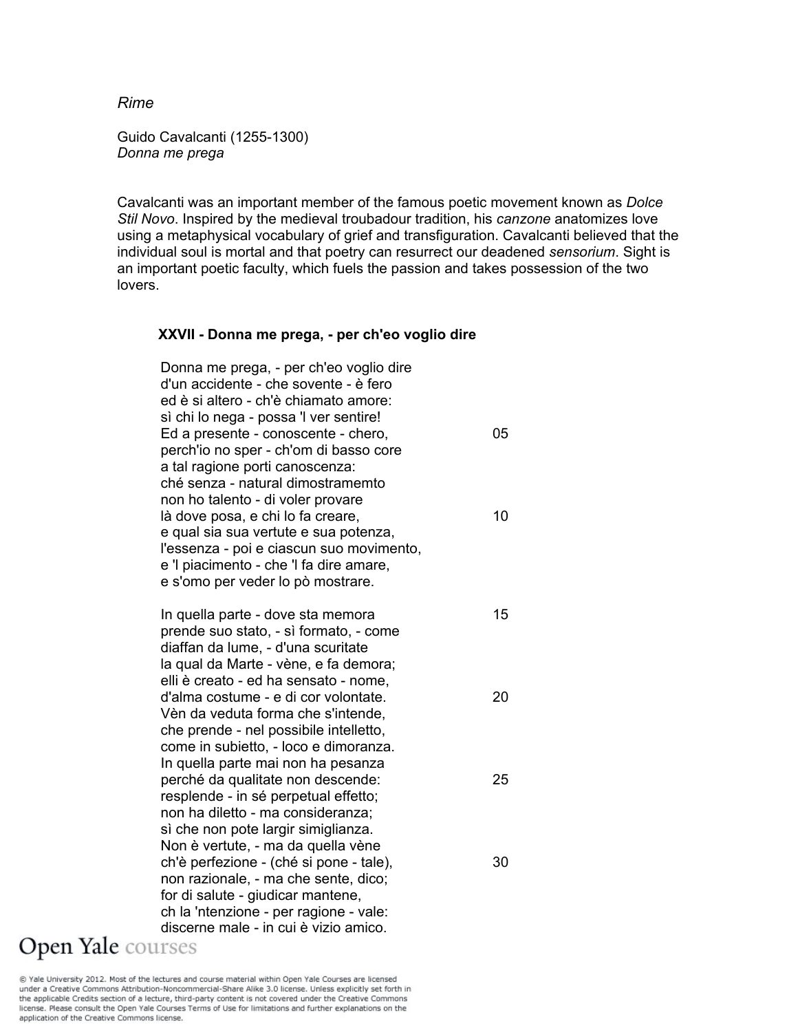*Rime* 

Guido Cavalcanti (1255-1300) *Donna me prega* 

Cavalcanti was an important member of the famous poetic movement known as *Dolce Stil Novo*. Inspired by the medieval troubadour tradition, his *canzone* anatomizes love using a metaphysical vocabulary of grief and transfiguration. Cavalcanti believed that the individual soul is mortal and that poetry can resurrect our deadened *sensorium*. Sight is an important poetic faculty, which fuels the passion and takes possession of the two lovers.

#### **XXVII - Donna me prega, - per ch'eo voglio dire**

| Donna me prega, - per ch'eo voglio dire<br>d'un accidente - che sovente - è fero<br>ed è si altero - ch'è chiamato amore: |    |
|---------------------------------------------------------------------------------------------------------------------------|----|
| sì chi lo nega - possa 'l ver sentire!                                                                                    |    |
| Ed a presente - conoscente - chero,                                                                                       | ר? |
| perch'io no sper - ch'om di basso core                                                                                    |    |
| a tal ragione porti canoscenza:                                                                                           |    |
| ché senza - natural dimostramemto                                                                                         |    |
| non ho talento - di voler provare                                                                                         |    |
| là dove posa, e chi lo fa creare,                                                                                         | 10 |
| e qual sia sua vertute e sua potenza,                                                                                     |    |
| l'essenza - poi e ciascun suo movimento,                                                                                  |    |
| e 'l piacimento - che 'l fa dire amare,                                                                                   |    |
| e s'omo per veder lo pò mostrare.                                                                                         |    |
|                                                                                                                           |    |
| In quella parte - dove sta memora                                                                                         | 15 |
|                                                                                                                           |    |

 prende suo stato, - sì formato, - come diaffan da lume, - d'una scuritate la qual da Marte - vène, e fa demora; elli è creato - ed ha sensato - nome, d'alma costume - e di cor volontate. 20 Vèn da veduta forma che s'intende, che prende - nel possibile intelletto, come in subietto, - loco e dimoranza. In quella parte mai non ha pesanza perché da qualitate non descende: 25 resplende - in sé perpetual effetto; non ha diletto - ma consideranza; sì che non pote largir simiglianza. Non è vertute, - ma da quella vène ch'è perfezione - (ché si pone - tale), 30 non razionale, - ma che sente, dico; for di salute - giudicar mantene, ch la 'ntenzione - per ragione - vale: discerne male - in cui è vizio amico.<br>Open Yale courses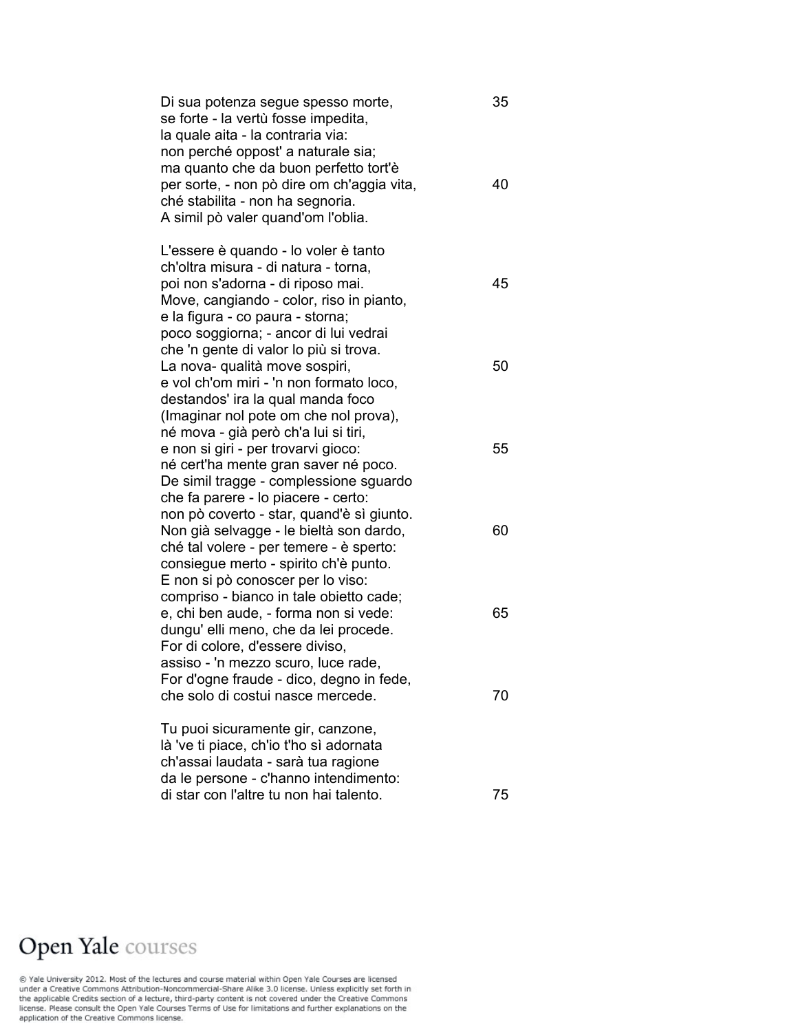Di sua potenza segue spesso morte, 35 se forte - la vertù fosse impedita, la quale aita - la contraria via: non perché oppost' a naturale sia; ma quanto che da buon perfetto tort'è per sorte, - non pò dire om ch'aggia vita, 40 ché stabilita - non ha segnoria. A simil pò valer quand'om l'oblia.

 L'essere è quando - lo voler è tanto ch'oltra misura - di natura - torna, poi non s'adorna - di riposo mai. 45 Move, cangiando - color, riso in pianto, e la figura - co paura - storna; poco soggiorna; - ancor di lui vedrai che 'n gente di valor lo più si trova. La nova- qualità move sospiri, metropologicale di stato di stato di stato di stato di stato di stato di stato e vol ch'om miri - 'n non formato loco, destandos' ira la qual manda foco (Imaginar nol pote om che nol prova), né mova - già però ch'a lui si tiri, e non si giri - per trovarvi gioco: 55 né cert'ha mente gran saver né poco. De simil tragge - complessione sguardo che fa parere - lo piacere - certo: non pò coverto - star, quand'è sì giunto. Non già selvagge - le bieltà son dardo, 60 ché tal volere - per temere - è sperto: consiegue merto - spirito ch'è punto. E non si pò conoscer per lo viso: compriso - bianco in tale obietto cade; e, chi ben aude, - forma non si vede: 65 dungu' elli meno, che da lei procede. For di colore, d'essere diviso, assiso - 'n mezzo scuro, luce rade, For d'ogne fraude - dico, degno in fede, che solo di costui nasce mercede. 70

 Tu puoi sicuramente gir, canzone, là 've ti piace, ch'io t'ho sì adornata ch'assai laudata - sarà tua ragione da le persone - c'hanno intendimento: di star con l'altre tu non hai talento. 75

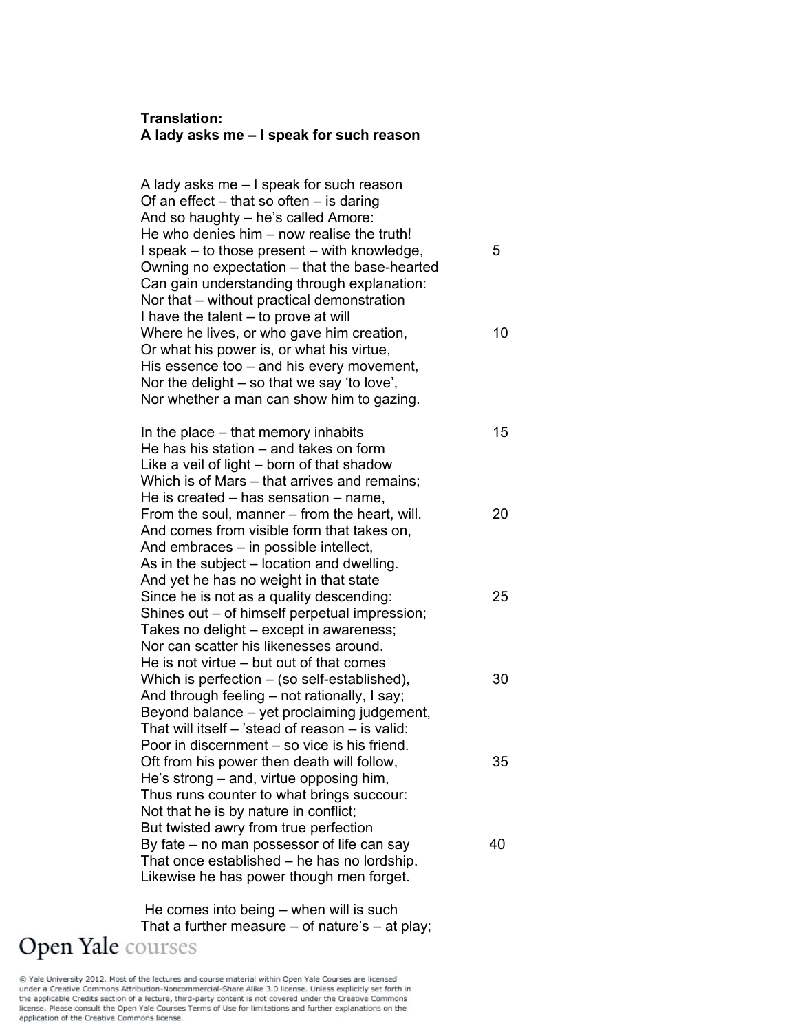### **Translation: A lady asks me – I speak for such reason**

A lady asks me – I speak for such reason Of an effect  $-$  that so often  $-$  is daring And so haughty – he's called Amore: He who denies him – now realise the truth! I speak – to those present – with knowledge,  $5$ Owning no expectation – that the base-hearted Can gain understanding through explanation: Nor that – without practical demonstration I have the talent – to prove at will Where he lives, or who gave him creation, 10 Or what his power is, or what his virtue, His essence too – and his every movement, Nor the delight – so that we say 'to love', Nor whether a man can show him to gazing.

In the place – that memory inhabits 15 He has his station – and takes on form Like a veil of light – born of that shadow Which is of Mars – that arrives and remains; He is created – has sensation – name, From the soul, manner – from the heart, will. 20 And comes from visible form that takes on, And embraces – in possible intellect, As in the subject – location and dwelling. And yet he has no weight in that state Since he is not as a quality descending: 25 Shines out – of himself perpetual impression; Takes no delight – except in awareness; Nor can scatter his likenesses around. He is not virtue – but out of that comes Which is perfection  $-$  (so self-established),  $30$ And through feeling – not rationally, I say; Beyond balance – yet proclaiming judgement, That will itself – 'stead of reason – is valid: Poor in discernment – so vice is his friend. Oft from his power then death will follow, 35 He's strong – and, virtue opposing him, Thus runs counter to what brings succour: Not that he is by nature in conflict; But twisted awry from true perfection By fate  $-$  no man possessor of life can say  $40$ That once established – he has no lordship. Likewise he has power though men forget.

 He comes into being – when will is such That a further measure  $-$  of nature's  $-$  at play; Open Yale courses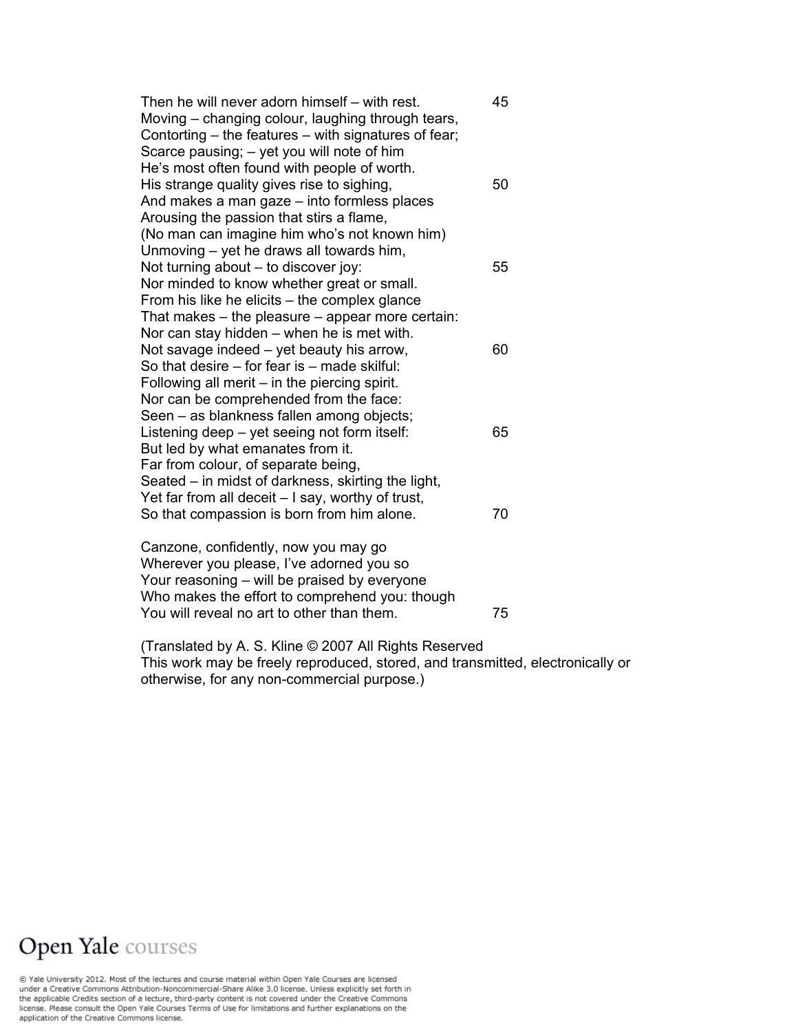Then he will never adorn himself – with rest. 45 Moving – changing colour, laughing through tears, Contorting – the features – with signatures of fear; Scarce pausing; – yet you will note of him He's most often found with people of worth. His strange quality gives rise to sighing, 1992 1994 And makes a man gaze – into formless places Arousing the passion that stirs a flame, (No man can imagine him who's not known him) Unmoving – yet he draws all towards him, Not turning about – to discover joy: 55 Nor minded to know whether great or small. From his like he elicits – the complex glance That makes – the pleasure – appear more certain: Nor can stay hidden – when he is met with. Not savage indeed  $-$  yet beauty his arrow,  $60$ So that desire – for fear is – made skilful: Following all merit – in the piercing spirit. Nor can be comprehended from the face: Seen – as blankness fallen among objects; Listening deep – yet seeing not form itself: 65 But led by what emanates from it. Far from colour, of separate being, Seated – in midst of darkness, skirting the light, Yet far from all deceit – I say, worthy of trust, So that compassion is born from him alone. 70 Canzone, confidently, now you may go

Wherever you please, I've adorned you so Your reasoning – will be praised by everyone Who makes the effort to comprehend you: though You will reveal no art to other than them. 75

(Translated by A. S. Kline © 2007 All Rights Reserved This work may be freely reproduced, stored, and transmitted, electronically or otherwise, for any non-commercial purpose.)

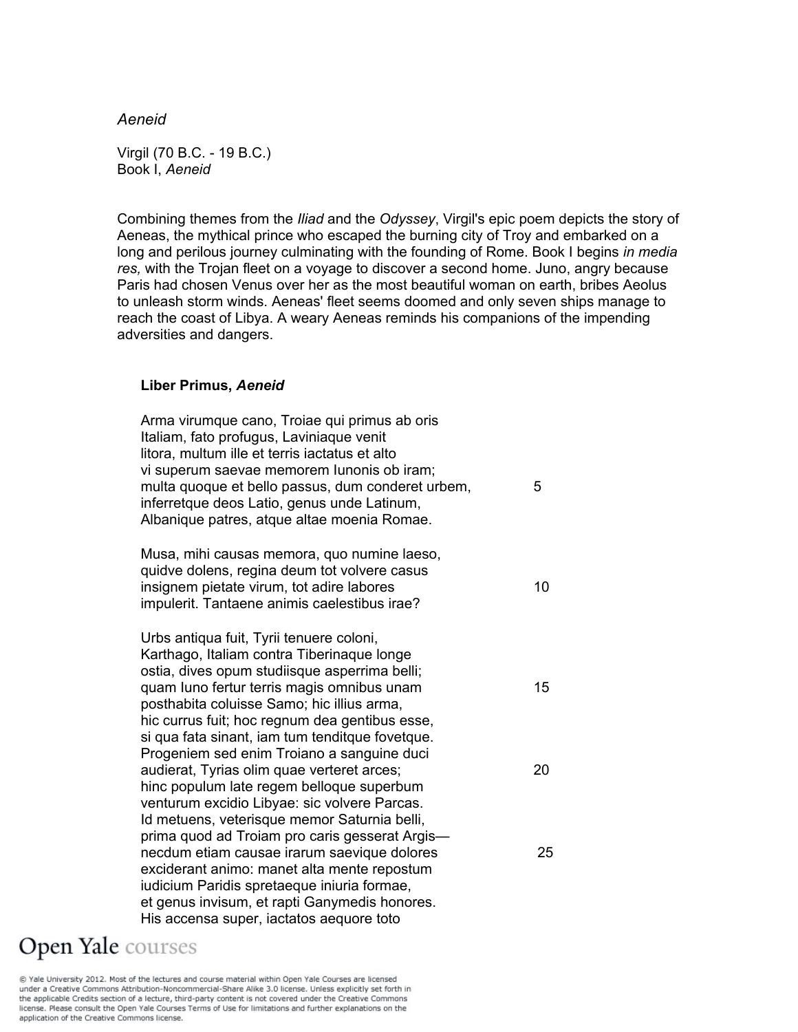#### *Aeneid*

Virgil (70 B.C. - 19 B.C.) Book I, *Aeneid*

Combining themes from the *Iliad* and the *Odyssey*, Virgil's epic poem depicts the story of Aeneas, the mythical prince who escaped the burning city of Troy and embarked on a long and perilous journey culminating with the founding of Rome. Book I begins *in media res,* with the Trojan fleet on a voyage to discover a second home. Juno, angry because Paris had chosen Venus over her as the most beautiful woman on earth, bribes Aeolus to unleash storm winds. Aeneas' fleet seems doomed and only seven ships manage to reach the coast of Libya. A weary Aeneas reminds his companions of the impending adversities and dangers.

#### **Liber Primus,** *Aeneid*

| Arma virumque cano, Troiae qui primus ab oris<br>Italiam, fato profugus, Laviniaque venit<br>litora, multum ille et terris iactatus et alto<br>vi superum saevae memorem Iunonis ob iram;<br>multa quoque et bello passus, dum conderet urbem,<br>inferretque deos Latio, genus unde Latinum,<br>Albanique patres, atque altae moenia Romae.                                           | 5  |
|----------------------------------------------------------------------------------------------------------------------------------------------------------------------------------------------------------------------------------------------------------------------------------------------------------------------------------------------------------------------------------------|----|
| Musa, mihi causas memora, quo numine laeso,<br>quidve dolens, regina deum tot volvere casus<br>insignem pietate virum, tot adire labores<br>impulerit. Tantaene animis caelestibus irae?                                                                                                                                                                                               | 10 |
| Urbs antiqua fuit, Tyrii tenuere coloni,<br>Karthago, Italiam contra Tiberinaque longe<br>ostia, dives opum studiisque asperrima belli;<br>quam luno fertur terris magis omnibus unam<br>posthabita coluisse Samo; hic illius arma,<br>hic currus fuit; hoc regnum dea gentibus esse,<br>si qua fata sinant, iam tum tenditque fovetque.<br>Progeniem sed enim Troiano a sanguine duci | 15 |
| audierat, Tyrias olim quae verteret arces;<br>hinc populum late regem belloque superbum<br>venturum excidio Libyae: sic volvere Parcas.<br>Id metuens, veterisque memor Saturnia belli,                                                                                                                                                                                                | 20 |
| prima quod ad Troiam pro caris gesserat Argis-<br>necdum etiam causae irarum saevique dolores<br>exciderant animo: manet alta mente repostum<br>iudicium Paridis spretaeque iniuria formae,<br>et genus invisum, et rapti Ganymedis honores.<br>His accensa super, iactatos aequore toto                                                                                               | 25 |

## Open Yale courses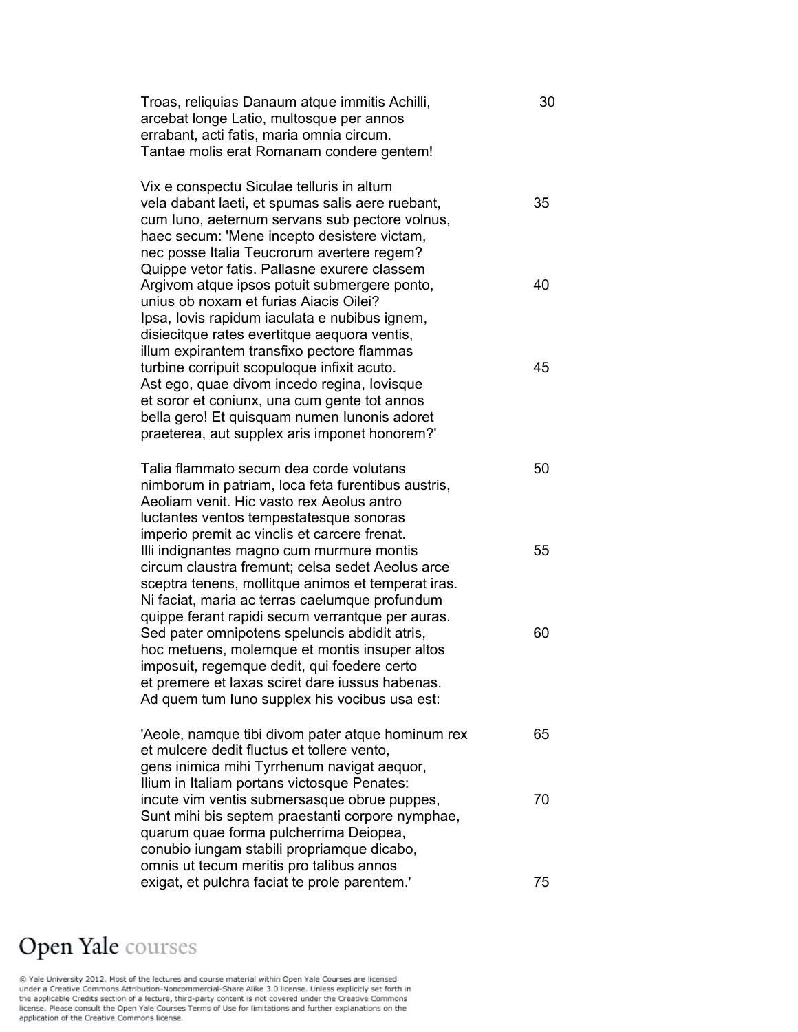| Troas, reliquias Danaum atque immitis Achilli, | 30 |
|------------------------------------------------|----|
| arcebat longe Latio, multosque per annos       |    |
| errabant, acti fatis, maria omnia circum.      |    |
| Tantae molis erat Romanam condere gentem!      |    |

Vix e conspectu Siculae telluris in altum vela dabant laeti, et spumas salis aere ruebant, 35 cum Iuno, aeternum servans sub pectore volnus, haec secum: 'Mene incepto desistere victam, nec posse Italia Teucrorum avertere regem? Quippe vetor fatis. Pallasne exurere classem Argivom atque ipsos potuit submergere ponto, 40 unius ob noxam et furias Aiacis Oilei? Ipsa, Iovis rapidum iaculata e nubibus ignem, disiecitque rates evertitque aequora ventis, illum expirantem transfixo pectore flammas turbine corripuit scopuloque infixit acuto. 45 Ast ego, quae divom incedo regina, Iovisque et soror et coniunx, una cum gente tot annos bella gero! Et quisquam numen Iunonis adoret praeterea, aut supplex aris imponet honorem?'

Talia flammato secum dea corde volutans  $10<sup>50</sup>$ nimborum in patriam, loca feta furentibus austris, Aeoliam venit. Hic vasto rex Aeolus antro luctantes ventos tempestatesque sonoras imperio premit ac vinclis et carcere frenat. Illi indignantes magno cum murmure montis 55 circum claustra fremunt; celsa sedet Aeolus arce sceptra tenens, mollitque animos et temperat iras. Ni faciat, maria ac terras caelumque profundum quippe ferant rapidi secum verrantque per auras. Sed pater omnipotens speluncis abdidit atris, 60 hoc metuens, molemque et montis insuper altos imposuit, regemque dedit, qui foedere certo et premere et laxas sciret dare iussus habenas. Ad quem tum Iuno supplex his vocibus usa est:

'Aeole, namque tibi divom pater atque hominum rex 65 et mulcere dedit fluctus et tollere vento, gens inimica mihi Tyrrhenum navigat aequor, Ilium in Italiam portans victosque Penates: incute vim ventis submersasque obrue puppes,  $\frac{70}{2}$ Sunt mihi bis septem praestanti corpore nymphae, quarum quae forma pulcherrima Deiopea, conubio iungam stabili propriamque dicabo, omnis ut tecum meritis pro talibus annos exigat, et pulchra faciat te prole parentem.' 75

### **Open Yale** courses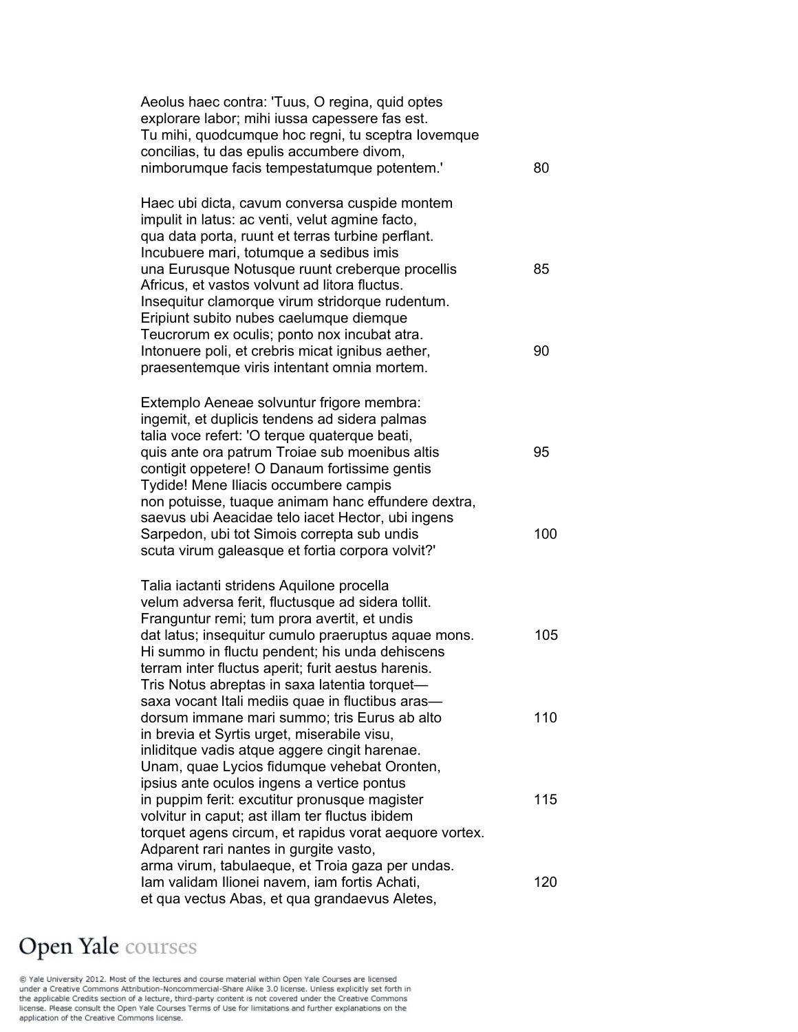| Aeolus haec contra: 'Tuus, O regina, quid optes<br>explorare labor; mihi iussa capessere fas est.<br>Tu mihi, quodcumque hoc regni, tu sceptra lovemque<br>concilias, tu das epulis accumbere divom,<br>nimborumque facis tempestatumque potentem.' | 80  |
|-----------------------------------------------------------------------------------------------------------------------------------------------------------------------------------------------------------------------------------------------------|-----|
| Haec ubi dicta, cavum conversa cuspide montem<br>impulit in latus: ac venti, velut agmine facto,<br>qua data porta, ruunt et terras turbine perflant.<br>Incubuere mari, totumque a sedibus imis<br>una Eurusque Notusque ruunt creberque procellis | 85  |
| Africus, et vastos volvunt ad litora fluctus.<br>Insequitur clamorque virum stridorque rudentum.<br>Eripiunt subito nubes caelumque diemque<br>Teucrorum ex oculis; ponto nox incubat atra.                                                         |     |
| Intonuere poli, et crebris micat ignibus aether,<br>praesentemque viris intentant omnia mortem.                                                                                                                                                     | 90  |
| Extemplo Aeneae solvuntur frigore membra:<br>ingemit, et duplicis tendens ad sidera palmas                                                                                                                                                          |     |
| talia voce refert: 'O terque quaterque beati,<br>quis ante ora patrum Troiae sub moenibus altis<br>contigit oppetere! O Danaum fortissime gentis<br>Tydide! Mene Iliacis occumbere campis                                                           | 95  |
| non potuisse, tuaque animam hanc effundere dextra,<br>saevus ubi Aeacidae telo iacet Hector, ubi ingens<br>Sarpedon, ubi tot Simois correpta sub undis<br>scuta virum galeasque et fortia corpora volvit?'                                          | 100 |
| Talia iactanti stridens Aquilone procella                                                                                                                                                                                                           |     |
| velum adversa ferit, fluctusque ad sidera tollit.                                                                                                                                                                                                   |     |
| Franguntur remi; tum prora avertit, et undis<br>dat latus; insequitur cumulo praeruptus aquae mons.                                                                                                                                                 | 105 |
| Hi summo in fluctu pendent; his unda dehiscens<br>terram inter fluctus aperit; furit aestus harenis.                                                                                                                                                |     |
| Tris Notus abreptas in saxa latentia torquet-<br>saxa vocant Itali mediis quae in fluctibus aras-                                                                                                                                                   |     |
| dorsum immane mari summo; tris Eurus ab alto                                                                                                                                                                                                        | 110 |
| in brevia et Syrtis urget, miserabile visu,                                                                                                                                                                                                         |     |
| inliditque vadis atque aggere cingit harenae.<br>Unam, quae Lycios fidumque vehebat Oronten,                                                                                                                                                        |     |
| ipsius ante oculos ingens a vertice pontus                                                                                                                                                                                                          |     |
| in puppim ferit: excutitur pronusque magister                                                                                                                                                                                                       | 115 |
| volvitur in caput; ast illam ter fluctus ibidem<br>torquet agens circum, et rapidus vorat aequore vortex.                                                                                                                                           |     |
| Adparent rari nantes in gurgite vasto,                                                                                                                                                                                                              |     |
| arma virum, tabulaeque, et Troia gaza per undas.                                                                                                                                                                                                    |     |
| Iam validam Ilionei navem, iam fortis Achati,<br>et qua vectus Abas, et qua grandaevus Aletes,                                                                                                                                                      | 120 |
|                                                                                                                                                                                                                                                     |     |

# Open Yale courses

© Yale University 2012. Most of the lectures and course material within Open Yale Courses are licensed<br>under a Creative Commons Attribution-Noncommercial-Share Alike 3.0 license. Unless explicitly set forth in<br>the applica application of the Creative Commons license.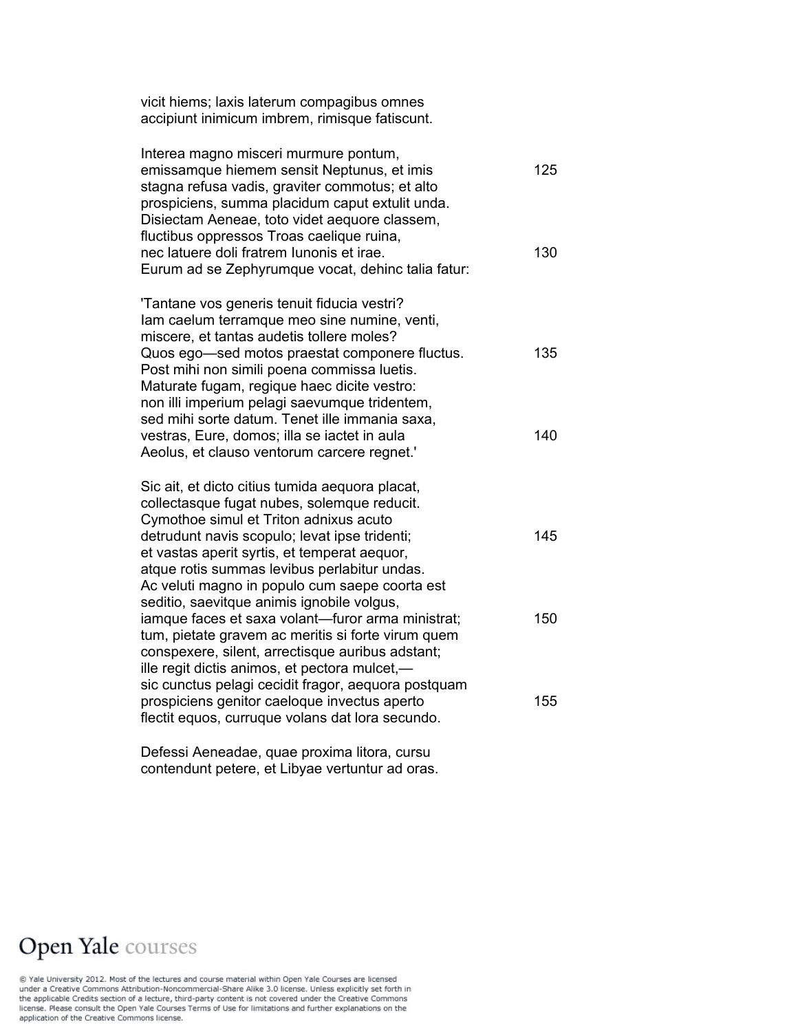vicit hiems; laxis laterum compagibus omnes accipiunt inimicum imbrem, rimisque fatiscunt.

| Interea magno misceri murmure pontum,              |     |
|----------------------------------------------------|-----|
| emissamque hiemem sensit Neptunus, et imis         | 125 |
| stagna refusa vadis, graviter commotus; et alto    |     |
| prospiciens, summa placidum caput extulit unda.    |     |
| Disiectam Aeneae, toto videt aequore classem,      |     |
| fluctibus oppressos Troas caelique ruina,          |     |
| nec latuere doli fratrem lunonis et irae.          | 130 |
| Eurum ad se Zephyrumque vocat, dehinc talia fatur: |     |

'Tantane vos generis tenuit fiducia vestri? Iam caelum terramque meo sine numine, venti, miscere, et tantas audetis tollere moles? Quos ego—sed motos praestat componere fluctus. 135 Post mihi non simili poena commissa luetis. Maturate fugam, regique haec dicite vestro: non illi imperium pelagi saevumque tridentem, sed mihi sorte datum. Tenet ille immania saxa, vestras, Eure, domos; illa se iactet in aula 140 Aeolus, et clauso ventorum carcere regnet.'

Sic ait, et dicto citius tumida aequora placat, collectasque fugat nubes, solemque reducit. Cymothoe simul et Triton adnixus acuto detrudunt navis scopulo; levat ipse tridenti; 145 et vastas aperit syrtis, et temperat aequor, atque rotis summas levibus perlabitur undas. Ac veluti magno in populo cum saepe coorta est seditio, saevitque animis ignobile volgus, iamque faces et saxa volant—furor arma ministrat; 150 tum, pietate gravem ac meritis si forte virum quem conspexere, silent, arrectisque auribus adstant; ille regit dictis animos, et pectora mulcet, sic cunctus pelagi cecidit fragor, aequora postquam prospiciens genitor caeloque invectus aperto 155 flectit equos, curruque volans dat lora secundo.

Defessi Aeneadae, quae proxima litora, cursu contendunt petere, et Libyae vertuntur ad oras.

### **Open Yale** courses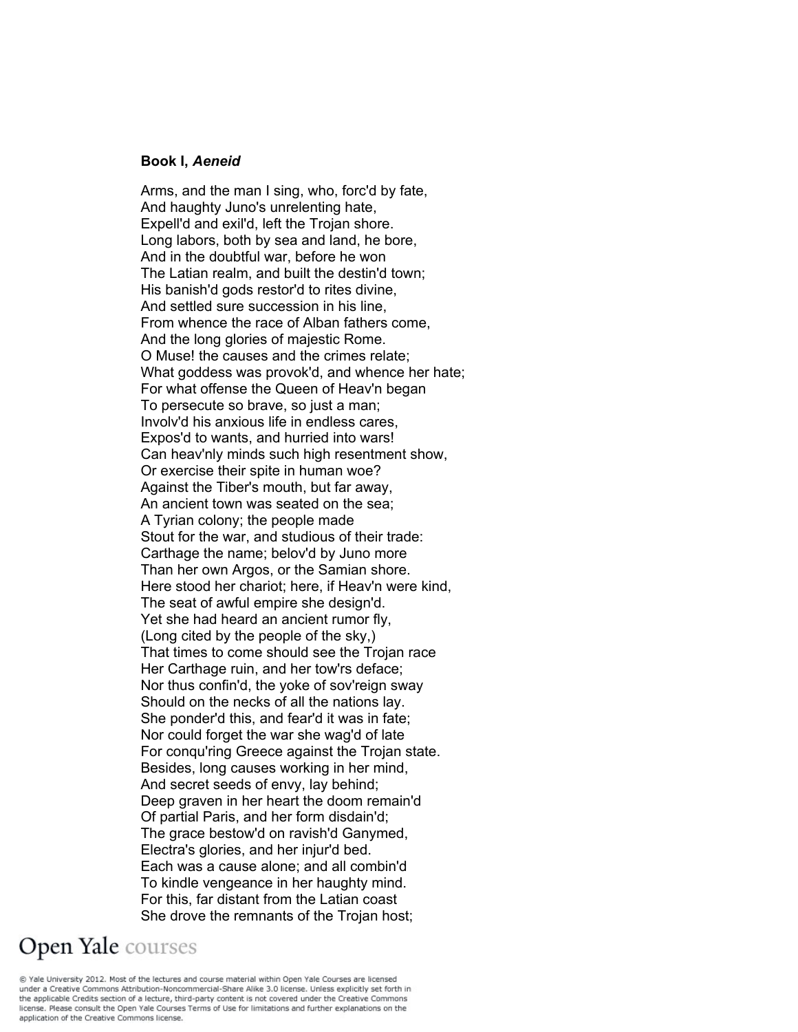#### **Book I,** *Aeneid*

Arms, and the man I sing, who, forc'd by fate, And haughty Juno's unrelenting hate, Expell'd and exil'd, left the Trojan shore. Long labors, both by sea and land, he bore, And in the doubtful war, before he won The Latian realm, and built the destin'd town; His banish'd gods restor'd to rites divine, And settled sure succession in his line, From whence the race of Alban fathers come, And the long glories of majestic Rome. O Muse! the causes and the crimes relate; What goddess was provok'd, and whence her hate; For what offense the Queen of Heav'n began To persecute so brave, so just a man; Involv'd his anxious life in endless cares, Expos'd to wants, and hurried into wars! Can heav'nly minds such high resentment show, Or exercise their spite in human woe? Against the Tiber's mouth, but far away, An ancient town was seated on the sea; A Tyrian colony; the people made Stout for the war, and studious of their trade: Carthage the name; belov'd by Juno more Than her own Argos, or the Samian shore. Here stood her chariot; here, if Heav'n were kind, The seat of awful empire she design'd. Yet she had heard an ancient rumor fly, (Long cited by the people of the sky,) That times to come should see the Trojan race Her Carthage ruin, and her tow'rs deface; Nor thus confin'd, the yoke of sov'reign sway Should on the necks of all the nations lay. She ponder'd this, and fear'd it was in fate; Nor could forget the war she wag'd of late For conqu'ring Greece against the Trojan state. Besides, long causes working in her mind, And secret seeds of envy, lay behind; Deep graven in her heart the doom remain'd Of partial Paris, and her form disdain'd; The grace bestow'd on ravish'd Ganymed, Electra's glories, and her injur'd bed. Each was a cause alone; and all combin'd To kindle vengeance in her haughty mind. For this, far distant from the Latian coast She drove the remnants of the Trojan host;

## Open Yale courses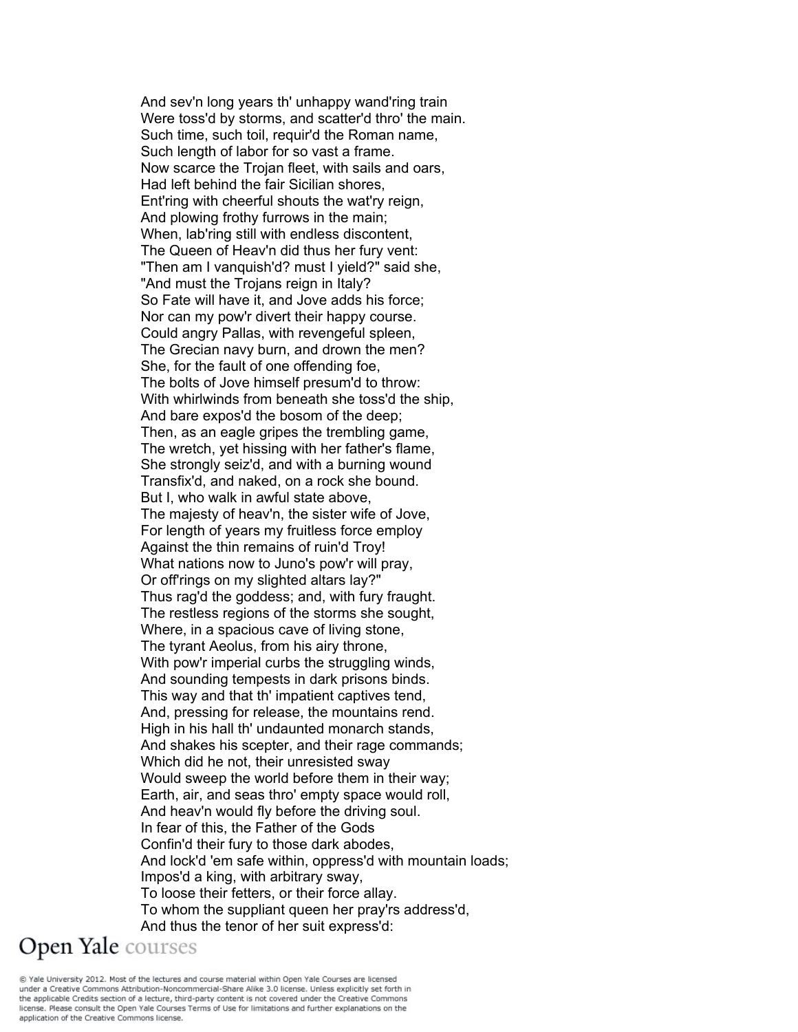And sev'n long years th' unhappy wand'ring train Were toss'd by storms, and scatter'd thro' the main. Such time, such toil, requir'd the Roman name, Such length of labor for so vast a frame. Now scarce the Trojan fleet, with sails and oars, Had left behind the fair Sicilian shores, Ent'ring with cheerful shouts the wat'ry reign, And plowing frothy furrows in the main; When, lab'ring still with endless discontent, The Queen of Heav'n did thus her fury vent: "Then am I vanquish'd? must I yield?" said she, "And must the Trojans reign in Italy? So Fate will have it, and Jove adds his force; Nor can my pow'r divert their happy course. Could angry Pallas, with revengeful spleen, The Grecian navy burn, and drown the men? She, for the fault of one offending foe, The bolts of Jove himself presum'd to throw: With whirlwinds from beneath she toss'd the ship, And bare expos'd the bosom of the deep; Then, as an eagle gripes the trembling game, The wretch, yet hissing with her father's flame, She strongly seiz'd, and with a burning wound Transfix'd, and naked, on a rock she bound. But I, who walk in awful state above, The majesty of heav'n, the sister wife of Jove, For length of years my fruitless force employ Against the thin remains of ruin'd Troy! What nations now to Juno's pow'r will pray, Or off'rings on my slighted altars lay?" Thus rag'd the goddess; and, with fury fraught. The restless regions of the storms she sought, Where, in a spacious cave of living stone, The tyrant Aeolus, from his airy throne, With pow'r imperial curbs the struggling winds, And sounding tempests in dark prisons binds. This way and that th' impatient captives tend, And, pressing for release, the mountains rend. High in his hall th' undaunted monarch stands, And shakes his scepter, and their rage commands; Which did he not, their unresisted sway Would sweep the world before them in their way; Earth, air, and seas thro' empty space would roll, And heav'n would fly before the driving soul. In fear of this, the Father of the Gods Confin'd their fury to those dark abodes, And lock'd 'em safe within, oppress'd with mountain loads; Impos'd a king, with arbitrary sway, To loose their fetters, or their force allay. To whom the suppliant queen her pray'rs address'd, And thus the tenor of her suit express'd:

**Open Yale** courses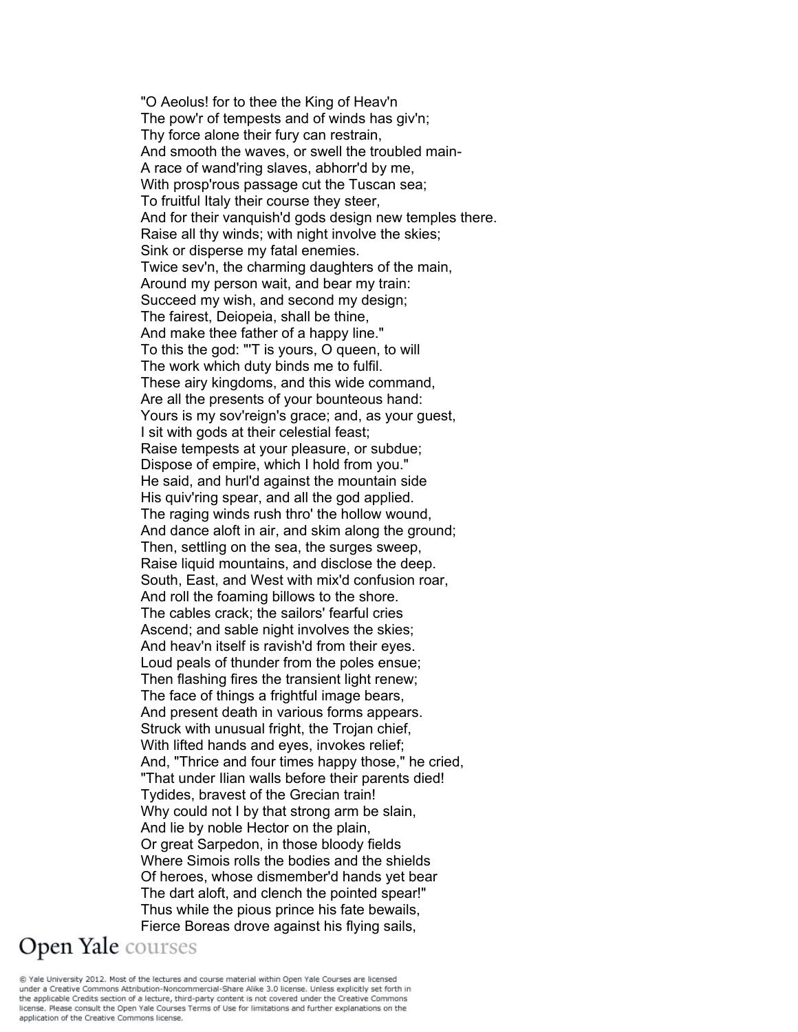"O Aeolus! for to thee the King of Heav'n The pow'r of tempests and of winds has giv'n; Thy force alone their fury can restrain, And smooth the waves, or swell the troubled main-A race of wand'ring slaves, abhorr'd by me, With prosp'rous passage cut the Tuscan sea; To fruitful Italy their course they steer, And for their vanquish'd gods design new temples there. Raise all thy winds; with night involve the skies; Sink or disperse my fatal enemies. Twice sev'n, the charming daughters of the main, Around my person wait, and bear my train: Succeed my wish, and second my design; The fairest, Deiopeia, shall be thine, And make thee father of a happy line." To this the god: "'T is yours, O queen, to will The work which duty binds me to fulfil. These airy kingdoms, and this wide command, Are all the presents of your bounteous hand: Yours is my sov'reign's grace; and, as your guest, I sit with gods at their celestial feast; Raise tempests at your pleasure, or subdue; Dispose of empire, which I hold from you." He said, and hurl'd against the mountain side His quiv'ring spear, and all the god applied. The raging winds rush thro' the hollow wound, And dance aloft in air, and skim along the ground; Then, settling on the sea, the surges sweep, Raise liquid mountains, and disclose the deep. South, East, and West with mix'd confusion roar, And roll the foaming billows to the shore. The cables crack; the sailors' fearful cries Ascend; and sable night involves the skies; And heav'n itself is ravish'd from their eyes. Loud peals of thunder from the poles ensue; Then flashing fires the transient light renew; The face of things a frightful image bears, And present death in various forms appears. Struck with unusual fright, the Trojan chief, With lifted hands and eyes, invokes relief; And, "Thrice and four times happy those," he cried, "That under Ilian walls before their parents died! Tydides, bravest of the Grecian train! Why could not I by that strong arm be slain, And lie by noble Hector on the plain, Or great Sarpedon, in those bloody fields Where Simois rolls the bodies and the shields Of heroes, whose dismember'd hands yet bear The dart aloft, and clench the pointed spear!" Thus while the pious prince his fate bewails, Fierce Boreas drove against his flying sails, Open Yale courses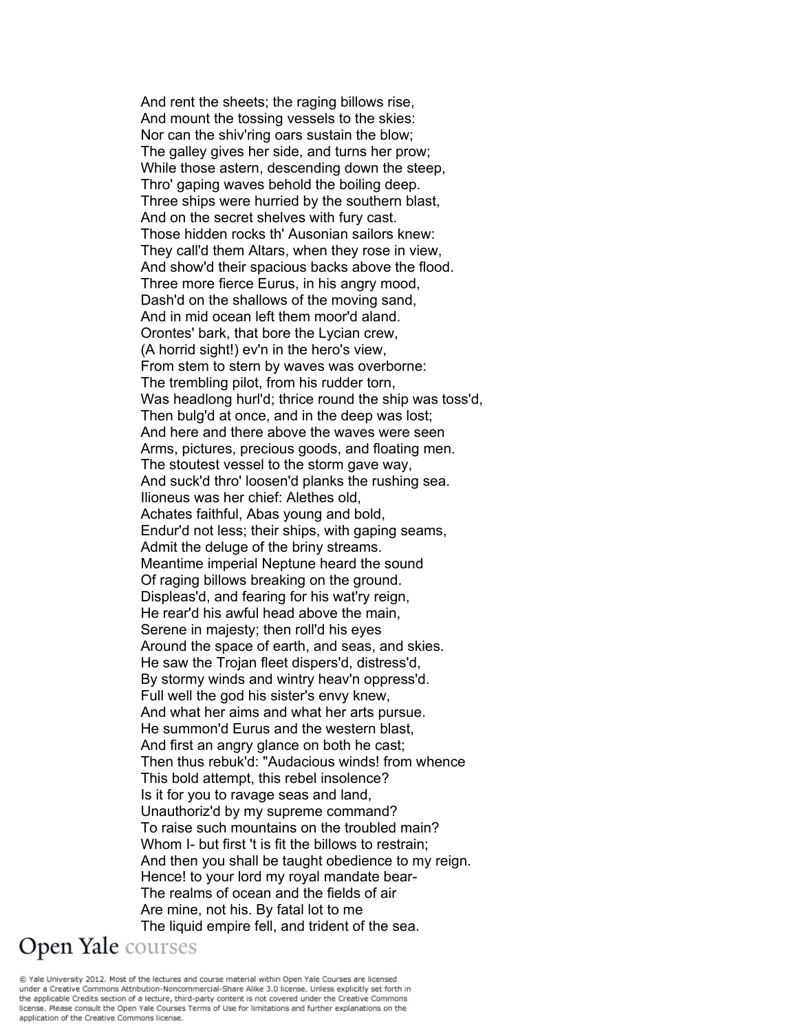And rent the sheets; the raging billows rise, And mount the tossing vessels to the skies: Nor can the shiv'ring oars sustain the blow; The galley gives her side, and turns her prow; While those astern, descending down the steep, Thro' gaping waves behold the boiling deep. Three ships were hurried by the southern blast, And on the secret shelves with fury cast. Those hidden rocks th' Ausonian sailors knew: They call'd them Altars, when they rose in view, And show'd their spacious backs above the flood. Three more fierce Eurus, in his angry mood, Dash'd on the shallows of the moving sand, And in mid ocean left them moor'd aland. Orontes' bark, that bore the Lycian crew, (A horrid sight!) ev'n in the hero's view, From stem to stern by waves was overborne: The trembling pilot, from his rudder torn, Was headlong hurl'd; thrice round the ship was toss'd, Then bulg'd at once, and in the deep was lost; And here and there above the waves were seen Arms, pictures, precious goods, and floating men. The stoutest vessel to the storm gave way, And suck'd thro' loosen'd planks the rushing sea. Ilioneus was her chief: Alethes old, Achates faithful, Abas young and bold, Endur'd not less; their ships, with gaping seams, Admit the deluge of the briny streams. Meantime imperial Neptune heard the sound Of raging billows breaking on the ground. Displeas'd, and fearing for his wat'ry reign, He rear'd his awful head above the main, Serene in majesty; then roll'd his eyes Around the space of earth, and seas, and skies. He saw the Trojan fleet dispers'd, distress'd, By stormy winds and wintry heav'n oppress'd. Full well the god his sister's envy knew, And what her aims and what her arts pursue. He summon'd Eurus and the western blast, And first an angry glance on both he cast; Then thus rebuk'd: "Audacious winds! from whence This bold attempt, this rebel insolence? Is it for you to ravage seas and land, Unauthoriz'd by my supreme command? To raise such mountains on the troubled main? Whom I- but first 't is fit the billows to restrain; And then you shall be taught obedience to my reign. Hence! to your lord my royal mandate bear-The realms of ocean and the fields of air Are mine, not his. By fatal lot to me The liquid empire fell, and trident of the sea. Open Yale courses